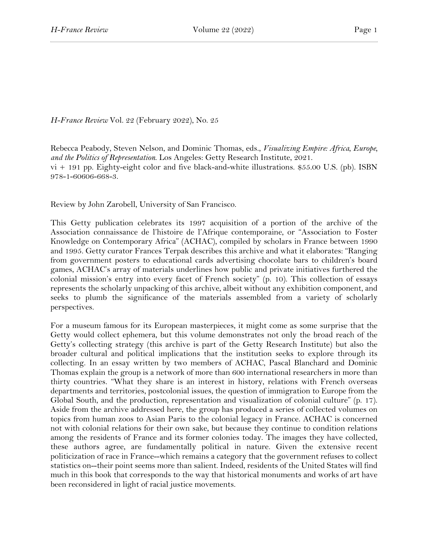*H-France Review* Vol. 22 (February 2022), No. 25

Rebecca Peabody, Steven Nelson, and Dominic Thomas, eds., *Visualizing Empire: Africa, Europe, and the Politics of Representation*. Los Angeles: Getty Research Institute, 2021.  $vi + 191$  pp. Eighty-eight color and five black-and-white illustrations. \$55.00 U.S. (pb). ISBN 978-1-60606-668-3.

Review by John Zarobell, University of San Francisco.

This Getty publication celebrates its 1997 acquisition of a portion of the archive of the Association connaissance de l'histoire de l'Afrique contemporaine, or "Association to Foster Knowledge on Contemporary Africa" (ACHAC), compiled by scholars in France between 1990 and 1995. Getty curator Frances Terpak describes this archive and what it elaborates: "Ranging from government posters to educational cards advertising chocolate bars to children's board games, ACHAC's array of materials underlines how public and private initiatives furthered the colonial mission's entry into every facet of French society" (p. 10). This collection of essays represents the scholarly unpacking of this archive, albeit without any exhibition component, and seeks to plumb the significance of the materials assembled from a variety of scholarly perspectives.

For a museum famous for its European masterpieces, it might come as some surprise that the Getty would collect ephemera, but this volume demonstrates not only the broad reach of the Getty's collecting strategy (this archive is part of the Getty Research Institute) but also the broader cultural and political implications that the institution seeks to explore through its collecting. In an essay written by two members of ACHAC, Pascal Blanchard and Dominic Thomas explain the group is a network of more than 600 international researchers in more than thirty countries. "What they share is an interest in history, relations with French overseas departments and territories, postcolonial issues, the question of immigration to Europe from the Global South, and the production, representation and visualization of colonial culture" (p. 17). Aside from the archive addressed here, the group has produced a series of collected volumes on topics from human zoos to Asian Paris to the colonial legacy in France. ACHAC is concerned not with colonial relations for their own sake, but because they continue to condition relations among the residents of France and its former colonies today. The images they have collected, these authors agree, are fundamentally political in nature. Given the extensive recent politicization of race in France--which remains a category that the government refuses to collect statistics on--their point seems more than salient. Indeed, residents of the United States will find much in this book that corresponds to the way that historical monuments and works of art have been reconsidered in light of racial justice movements.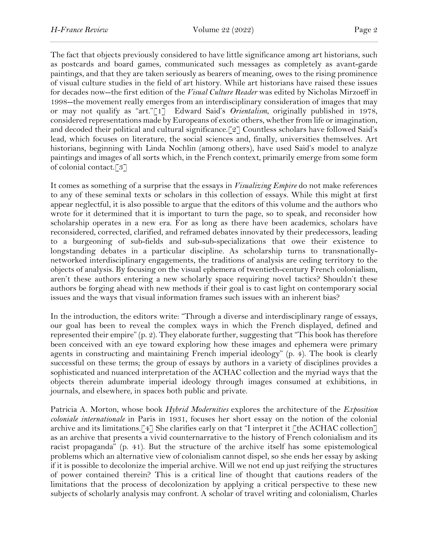The fact that objects previously considered to have little significance among art historians, such as postcards and board games, communicated such messages as completely as avant-garde paintings, and that they are taken seriously as bearers of meaning, owes to the rising prominence of visual culture studies in the field of art history. While art historians have raised these issues for decades now--the first edition of the *Visual Culture Reader* was edited by Nicholas Mirzoeff in 1998--the movement really emerges from an interdisciplinary consideration of images that may or may not qualify as "art."[1] Edward Said's *Orientalism*, originally published in 1978, considered representations made by Europeans of exotic others, whether from life or imagination, and decoded their political and cultural significance.[2] Countless scholars have followed Said's lead, which focuses on literature, the social sciences and, finally, universities themselves. Art historians, beginning with Linda Nochlin (among others), have used Said's model to analyze paintings and images of all sorts which, in the French context, primarily emerge from some form of colonial contact.[3]

It comes as something of a surprise that the essays in *Visualizing Empire* do not make references to any of these seminal texts or scholars in this collection of essays. While this might at first appear neglectful, it is also possible to argue that the editors of this volume and the authors who wrote for it determined that it is important to turn the page, so to speak, and reconsider how scholarship operates in a new era. For as long as there have been academics, scholars have reconsidered, corrected, clarified, and reframed debates innovated by their predecessors, leading to a burgeoning of sub-fields and sub-sub-specializations that owe their existence to longstanding debates in a particular discipline. As scholarship turns to transnationallynetworked interdisciplinary engagements, the traditions of analysis are ceding territory to the objects of analysis. By focusing on the visual ephemera of twentieth-century French colonialism, aren't these authors entering a new scholarly space requiring novel tactics? Shouldn't these authors be forging ahead with new methods if their goal is to cast light on contemporary social issues and the ways that visual information frames such issues with an inherent bias?

In the introduction, the editors write: "Through a diverse and interdisciplinary range of essays, our goal has been to reveal the complex ways in which the French displayed, defined and represented their empire" (p. 2). They elaborate further, suggesting that "This book has therefore been conceived with an eye toward exploring how these images and ephemera were primary agents in constructing and maintaining French imperial ideology" (p. 4). The book is clearly successful on these terms; the group of essays by authors in a variety of disciplines provides a sophisticated and nuanced interpretation of the ACHAC collection and the myriad ways that the objects therein adumbrate imperial ideology through images consumed at exhibitions, in journals, and elsewhere, in spaces both public and private.

Patricia A. Morton, whose book *Hybrid Modernities* explores the architecture of the *Exposition coloniale internationale* in Paris in 1931, focuses her short essay on the notion of the colonial archive and its limitations.[4] She clarifies early on that "I interpret it [the ACHAC collection] as an archive that presents a vivid counternarrative to the history of French colonialism and its racist propaganda" (p. 41). But the structure of the archive itself has some epistemological problems which an alternative view of colonialism cannot dispel, so she ends her essay by asking if it is possible to decolonize the imperial archive. Will we not end up just reifying the structures of power contained therein? This is a critical line of thought that cautions readers of the limitations that the process of decolonization by applying a critical perspective to these new subjects of scholarly analysis may confront. A scholar of travel writing and colonialism, Charles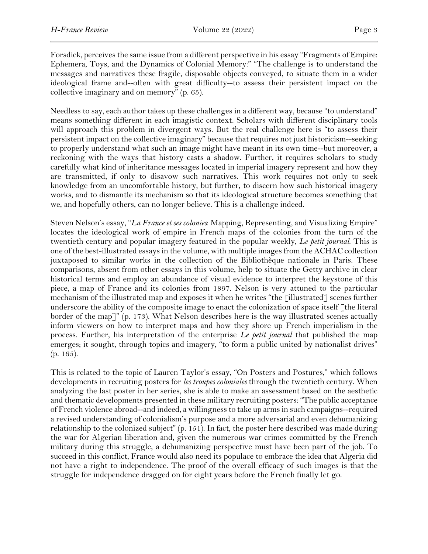Forsdick, perceives the same issue from a different perspective in his essay "Fragments of Empire: Ephemera, Toys, and the Dynamics of Colonial Memory:" "The challenge is to understand the messages and narratives these fragile, disposable objects conveyed, to situate them in a wider ideological frame and--often with great difficulty--to assess their persistent impact on the collective imaginary and on memory" (p. 65).

Needless to say, each author takes up these challenges in a different way, because "to understand" means something different in each imagistic context. Scholars with different disciplinary tools will approach this problem in divergent ways. But the real challenge here is "to assess their persistent impact on the collective imaginary" because that requires not just historicism--seeking to properly understand what such an image might have meant in its own time--but moreover, a reckoning with the ways that history casts a shadow. Further, it requires scholars to study carefully what kind of inheritance messages located in imperial imagery represent and how they are transmitted, if only to disavow such narratives. This work requires not only to seek knowledge from an uncomfortable history, but further, to discern how such historical imagery works, and to dismantle its mechanism so that its ideological structure becomes something that we, and hopefully others, can no longer believe. This is a challenge indeed.

Steven Nelson's essay, "*La France et ses colonies*: Mapping, Representing, and Visualizing Empire" locates the ideological work of empire in French maps of the colonies from the turn of the twentieth century and popular imagery featured in the popular weekly, *Le petit journal*. This is one of the best-illustrated essays in the volume, with multiple images from the ACHAC collection juxtaposed to similar works in the collection of the Bibliothèque nationale in Paris. These comparisons, absent from other essays in this volume, help to situate the Getty archive in clear historical terms and employ an abundance of visual evidence to interpret the keystone of this piece, a map of France and its colonies from 1897. Nelson is very attuned to the particular mechanism of the illustrated map and exposes it when he writes "the [illustrated] scenes further underscore the ability of the composite image to enact the colonization of space itself  $\lceil$  the literal border of the map]" (p. 173). What Nelson describes here is the way illustrated scenes actually inform viewers on how to interpret maps and how they shore up French imperialism in the process. Further, his interpretation of the enterprise *Le petit journal* that published the map emerges; it sought, through topics and imagery, "to form a public united by nationalist drives" (p. 165).

This is related to the topic of Lauren Taylor's essay, "On Posters and Postures," which follows developments in recruiting posters for *les troupes coloniales* through the twentieth century. When analyzing the last poster in her series, she is able to make an assessment based on the aesthetic and thematic developments presented in these military recruiting posters: "The public acceptance of French violence abroad--and indeed, a willingness to take up arms in such campaigns--required a revised understanding of colonialism's purpose and a more adversarial and even dehumanizing relationship to the colonized subject" (p. 151). In fact, the poster here described was made during the war for Algerian liberation and, given the numerous war crimes committed by the French military during this struggle, a dehumanizing perspective must have been part of the job. To succeed in this conflict, France would also need its populace to embrace the idea that Algeria did not have a right to independence. The proof of the overall efficacy of such images is that the struggle for independence dragged on for eight years before the French finally let go.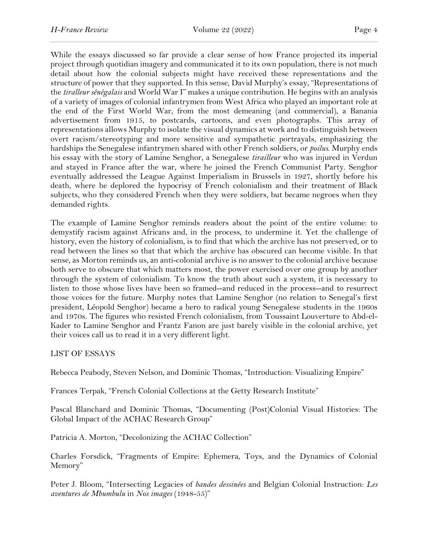While the essays discussed so far provide a clear sense of how France projected its imperial project through quotidian imagery and communicated it to its own population, there is not much detail about how the colonial subjects might have received these representations and the structure of power that they supported. In this sense, David Murphy's essay, "Representations of the *tiralleur sénégalais* and World War I" makes a unique contribution. He begins with an analysis of a variety of images of colonial infantrymen from West Africa who played an important role at the end of the First World War, from the most demeaning (and commercial), a Banania advertisement from 1915, to postcards, cartoons, and even photographs. This array of representations allows Murphy to isolate the visual dynamics at work and to distinguish between overt racism/stereotyping and more sensitive and sympathetic portrayals, emphasizing the hardships the Senegalese infantrymen shared with other French soldiers, or *poilus*. Murphy ends his essay with the story of Lamine Senghor, a Senegalese *tirailleur* who was injured in Verdun and stayed in France after the war, where he joined the French Communist Party. Senghor eventually addressed the League Against Imperialism in Brussels in 1927, shortly before his death, where he deplored the hypocrisy of French colonialism and their treatment of Black subjects, who they considered French when they were soldiers, but became negroes when they demanded rights.

The example of Lamine Senghor reminds readers about the point of the entire volume: to demystify racism against Africans and, in the process, to undermine it. Yet the challenge of history, even the history of colonialism, is to find that which the archive has not preserved, or to read between the lines so that that which the archive has obscured can become visible. In that sense, as Morton reminds us, an anti-colonial archive is no answer to the colonial archive because both serve to obscure that which matters most, the power exercised over one group by another through the system of colonialism. To know the truth about such a system, it is necessary to listen to those whose lives have been so framed--and reduced in the process--and to resurrect those voices for the future. Murphy notes that Lamine Senghor (no relation to Senegal's first president, Léopold Senghor) became a hero to radical young Senegalese students in the 1960s and 1970s. The figures who resisted French colonialism, from Toussaint Louverture to Abd-el-Kader to Lamine Senghor and Frantz Fanon are just barely visible in the colonial archive, yet their voices call us to read it in a very different light.

LIST OF ESSAYS

Rebecca Peabody, Steven Nelson, and Dominic Thomas, "Introduction: Visualizing Empire"

Frances Terpak, "French Colonial Collections at the Getty Research Institute"

Pascal Blanchard and Dominic Thomas, "Documenting (Post)Colonial Visual Histories: The Global Impact of the ACHAC Research Group"

Patricia A. Morton, "Decolonizing the ACHAC Collection"

Charles Forsdick, "Fragments of Empire: Ephemera, Toys, and the Dynamics of Colonial Memory"

Peter J. Bloom, "Intersecting Legacies of *bandes dessinées* and Belgian Colonial Instruction: *Les aventures de Mbumbulu* in *Nos images* (1948-55)"